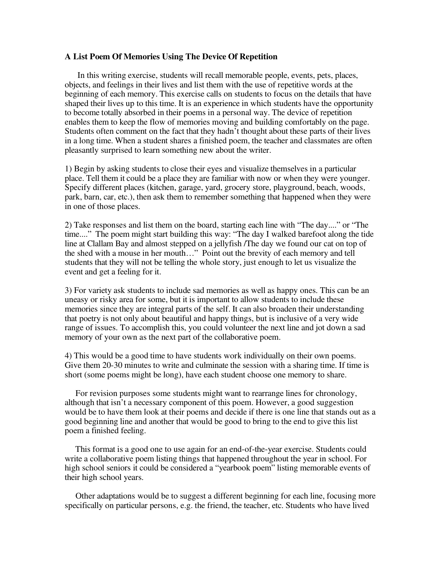## **A List Poem Of Memories Using The Device Of Repetition**

In this writing exercise, students will recall memorable people, events, pets, places, objects, and feelings in their lives and list them with the use of repetitive words at the beginning of each memory. This exercise calls on students to focus on the details that have shaped their lives up to this time. It is an experience in which students have the opportunity to become totally absorbed in their poems in a personal way. The device of repetition enables them to keep the flow of memories moving and building comfortably on the page. Students often comment on the fact that they hadn't thought about these parts of their lives in a long time. When a student shares a finished poem, the teacher and classmates are often pleasantly surprised to learn something new about the writer.

1) Begin by asking students to close their eyes and visualize themselves in a particular place. Tell them it could be a place they are familiar with now or when they were younger. Specify different places (kitchen, garage, yard, grocery store, playground, beach, woods, park, barn, car, etc.), then ask them to remember something that happened when they were in one of those places.

2) Take responses and list them on the board, starting each line with "The day...." or "The time...." The poem might start building this way: "The day I walked barefoot along the tide line at Clallam Bay and almost stepped on a jellyfish /The day we found our cat on top of the shed with a mouse in her mouth…" Point out the brevity of each memory and tell students that they will not be telling the whole story, just enough to let us visualize the event and get a feeling for it.

3) For variety ask students to include sad memories as well as happy ones. This can be an uneasy or risky area for some, but it is important to allow students to include these memories since they are integral parts of the self. It can also broaden their understanding that poetry is not only about beautiful and happy things, but is inclusive of a very wide range of issues. To accomplish this, you could volunteer the next line and jot down a sad memory of your own as the next part of the collaborative poem.

4) This would be a good time to have students work individually on their own poems. Give them 20-30 minutes to write and culminate the session with a sharing time. If time is short (some poems might be long), have each student choose one memory to share.

For revision purposes some students might want to rearrange lines for chronology, although that isn't a necessary component of this poem. However, a good suggestion would be to have them look at their poems and decide if there is one line that stands out as a good beginning line and another that would be good to bring to the end to give this list poem a finished feeling.

This format is a good one to use again for an end-of-the-year exercise. Students could write a collaborative poem listing things that happened throughout the year in school. For high school seniors it could be considered a "yearbook poem" listing memorable events of their high school years.

Other adaptations would be to suggest a different beginning for each line, focusing more specifically on particular persons, e.g. the friend, the teacher, etc. Students who have lived